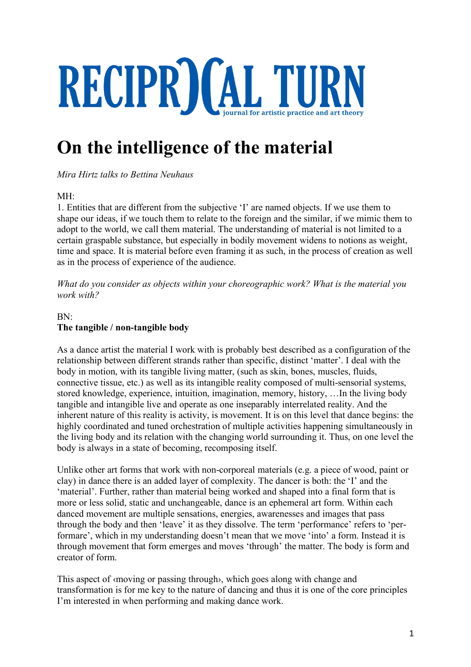# RECIPR) (AL TURN

# **On the intelligence of the material**

*Mira Hirtz talks to Bettina Neuhaus*

# MH:

1. Entities that are different from the subjective 'I' are named objects. If we use them to shape our ideas, if we touch them to relate to the foreign and the similar, if we mimic them to adopt to the world, we call them material. The understanding of material is not limited to a certain graspable substance, but especially in bodily movement widens to notions as weight, time and space. It is material before even framing it as such, in the process of creation as well as in the process of experience of the audience.

*What do you consider as objects within your choreographic work? What is the material you work with?*

# BN: **The tangible / non-tangible body**

As a dance artist the material I work with is probably best described as a configuration of the relationship between different strands rather than specific, distinct 'matter'. I deal with the body in motion, with its tangible living matter, (such as skin, bones, muscles, fluids, connective tissue, etc.) as well as its intangible reality composed of multi-sensorial systems, stored knowledge, experience, intuition, imagination, memory, history, …In the living body tangible and intangible live and operate as one inseparably interrelated reality. And the inherent nature of this reality is activity, is movement. It is on this level that dance begins: the highly coordinated and tuned orchestration of multiple activities happening simultaneously in the living body and its relation with the changing world surrounding it. Thus, on one level the body is always in a state of becoming, recomposing itself.

Unlike other art forms that work with non-corporeal materials (e.g. a piece of wood, paint or clay) in dance there is an added layer of complexity. The dancer is both: the 'I' and the 'material'. Further, rather than material being worked and shaped into a final form that is more or less solid, static and unchangeable, dance is an ephemeral art form. Within each danced movement are multiple sensations, energies, awarenesses and images that pass through the body and then 'leave' it as they dissolve. The term 'performance' refers to 'performare', which in my understanding doesn't mean that we move 'into' a form. Instead it is through movement that form emerges and moves 'through' the matter. The body is form and creator of form.

This aspect of ‹moving or passing through›, which goes along with change and transformation is for me key to the nature of dancing and thus it is one of the core principles I'm interested in when performing and making dance work.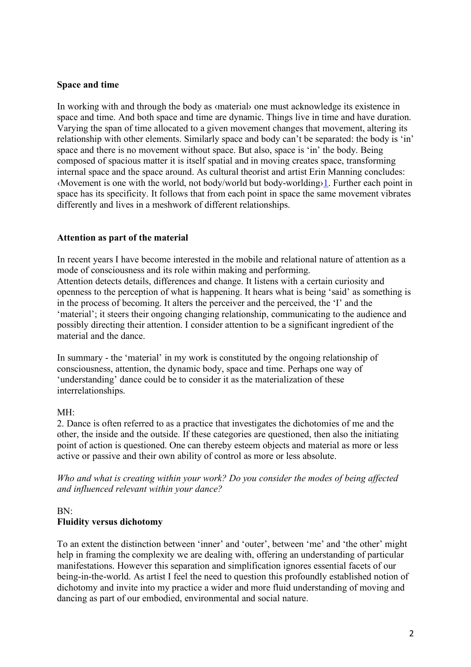# **Space and time**

In working with and through the body as *«material»* one must acknowledge its existence in space and time. And both space and time are dynamic. Things live in time and have duration. Varying the span of time allocated to a given movement changes that movement, altering its relationship with other elements. Similarly space and body can't be separated: the body is 'in' space and there is no movement without space. But also, space is 'in' the body. Being composed of spacious matter it is itself spatial and in moving creates space, transforming internal space and the space around. As cultural theorist and artist Erin Manning concludes: ‹Movement is one with the world, not body/world but body-worlding›1. Further each point in space has its specificity. It follows that from each point in space the same movement vibrates differently and lives in a meshwork of different relationships.

#### **Attention as part of the material**

In recent years I have become interested in the mobile and relational nature of attention as a mode of consciousness and its role within making and performing. Attention detects details, differences and change. It listens with a certain curiosity and openness to the perception of what is happening. It hears what is being 'said' as something is in the process of becoming. It alters the perceiver and the perceived, the 'I' and the 'material'; it steers their ongoing changing relationship, communicating to the audience and possibly directing their attention. I consider attention to be a significant ingredient of the material and the dance.

In summary - the 'material' in my work is constituted by the ongoing relationship of consciousness, attention, the dynamic body, space and time. Perhaps one way of 'understanding' dance could be to consider it as the materialization of these interrelationships.

#### MH:

2. Dance is often referred to as a practice that investigates the dichotomies of me and the other, the inside and the outside. If these categories are questioned, then also the initiating point of action is questioned. One can thereby esteem objects and material as more or less active or passive and their own ability of control as more or less absolute.

*Who and what is creating within your work? Do you consider the modes of being affected and influenced relevant within your dance?*

#### BN: **Fluidity versus dichotomy**

To an extent the distinction between 'inner' and 'outer', between 'me' and 'the other' might help in framing the complexity we are dealing with, offering an understanding of particular manifestations. However this separation and simplification ignores essential facets of our being-in-the-world. As artist I feel the need to question this profoundly established notion of dichotomy and invite into my practice a wider and more fluid understanding of moving and dancing as part of our embodied, environmental and social nature.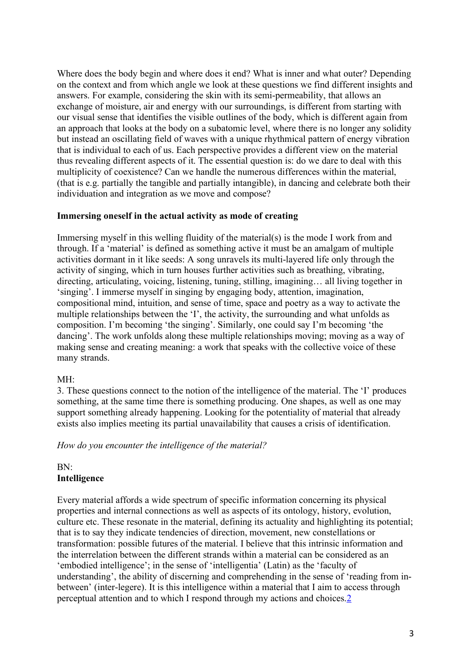Where does the body begin and where does it end? What is inner and what outer? Depending on the context and from which angle we look at these questions we find different insights and answers. For example, considering the skin with its semi-permeability, that allows an exchange of moisture, air and energy with our surroundings, is different from starting with our visual sense that identifies the visible outlines of the body, which is different again from an approach that looks at the body on a subatomic level, where there is no longer any solidity but instead an oscillating field of waves with a unique rhythmical pattern of energy vibration that is individual to each of us. Each perspective provides a different view on the material thus revealing different aspects of it. The essential question is: do we dare to deal with this multiplicity of coexistence? Can we handle the numerous differences within the material, (that is e.g. partially the tangible and partially intangible), in dancing and celebrate both their individuation and integration as we move and compose?

#### **Immersing oneself in the actual activity as mode of creating**

Immersing myself in this welling fluidity of the material(s) is the mode I work from and through. If a 'material' is defined as something active it must be an amalgam of multiple activities dormant in it like seeds: A song unravels its multi-layered life only through the activity of singing, which in turn houses further activities such as breathing, vibrating, directing, articulating, voicing, listening, tuning, stilling, imagining… all living together in 'singing'. I immerse myself in singing by engaging body, attention, imagination, compositional mind, intuition, and sense of time, space and poetry as a way to activate the multiple relationships between the 'I', the activity, the surrounding and what unfolds as composition. I'm becoming 'the singing'. Similarly, one could say I'm becoming 'the dancing'. The work unfolds along these multiple relationships moving; moving as a way of making sense and creating meaning: a work that speaks with the collective voice of these many strands.

#### MH:

3. These questions connect to the notion of the intelligence of the material. The 'I' produces something, at the same time there is something producing. One shapes, as well as one may support something already happening. Looking for the potentiality of material that already exists also implies meeting its partial unavailability that causes a crisis of identification.

*How do you encounter the intelligence of the material?*

# BN: **Intelligence**

Every material affords a wide spectrum of specific information concerning its physical properties and internal connections as well as aspects of its ontology, history, evolution, culture etc. These resonate in the material, defining its actuality and highlighting its potential; that is to say they indicate tendencies of direction, movement, new constellations or transformation: possible futures of the material. I believe that this intrinsic information and the interrelation between the different strands within a material can be considered as an 'embodied intelligence'; in the sense of 'intelligentia' (Latin) as the 'faculty of understanding', the ability of discerning and comprehending in the sense of 'reading from inbetween' (inter-legere). It is this intelligence within a material that I aim to access through perceptual attention and to which I respond through my actions and choices.2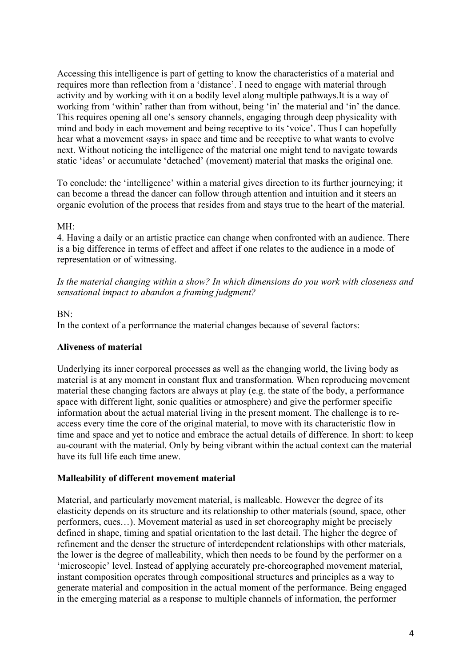Accessing this intelligence is part of getting to know the characteristics of a material and requires more than reflection from a 'distance'. I need to engage with material through activity and by working with it on a bodily level along multiple pathways.It is a way of working from 'within' rather than from without, being 'in' the material and 'in' the dance. This requires opening all one's sensory channels, engaging through deep physicality with mind and body in each movement and being receptive to its 'voice'. Thus I can hopefully hear what a movement ‹says› in space and time and be receptive to what wants to evolve next. Without noticing the intelligence of the material one might tend to navigate towards static 'ideas' or accumulate 'detached' (movement) material that masks the original one.

To conclude: the 'intelligence' within a material gives direction to its further journeying; it can become a thread the dancer can follow through attention and intuition and it steers an organic evolution of the process that resides from and stays true to the heart of the material.

#### MH:

4. Having a daily or an artistic practice can change when confronted with an audience. There is a big difference in terms of effect and affect if one relates to the audience in a mode of representation or of witnessing.

*Is the material changing within a show? In which dimensions do you work with closeness and sensational impact to abandon a framing judgment?*

#### BN:

In the context of a performance the material changes because of several factors:

# **Aliveness of material**

Underlying its inner corporeal processes as well as the changing world, the living body as material is at any moment in constant flux and transformation. When reproducing movement material these changing factors are always at play (e.g. the state of the body, a performance space with different light, sonic qualities or atmosphere) and give the performer specific information about the actual material living in the present moment. The challenge is to reaccess every time the core of the original material, to move with its characteristic flow in time and space and yet to notice and embrace the actual details of difference. In short: to keep au-courant with the material. Only by being vibrant within the actual context can the material have its full life each time anew.

# **Malleability of different movement material**

Material, and particularly movement material, is malleable. However the degree of its elasticity depends on its structure and its relationship to other materials (sound, space, other performers, cues…). Movement material as used in set choreography might be precisely defined in shape, timing and spatial orientation to the last detail. The higher the degree of refinement and the denser the structure of interdependent relationships with other materials, the lower is the degree of malleability, which then needs to be found by the performer on a 'microscopic' level. Instead of applying accurately pre-choreographed movement material, instant composition operates through compositional structures and principles as a way to generate material and composition in the actual moment of the performance. Being engaged in the emerging material as a response to multiple channels of information, the performer